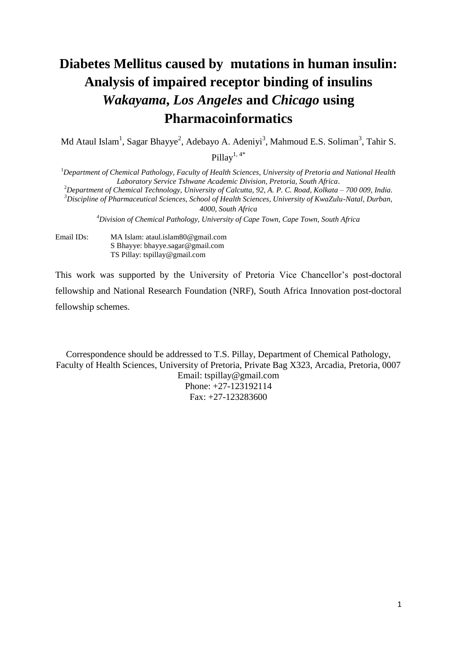# **Diabetes Mellitus caused by mutations in human insulin: Analysis of impaired receptor binding of insulins** *Wakayama***,** *Los Angeles* **and** *Chicago* **using Pharmacoinformatics**

Md Ataul Islam<sup>1</sup>, Sagar Bhayye<sup>2</sup>, Adebayo A. Adeniyi<sup>3</sup>, Mahmoud E.S. Soliman<sup>3</sup>, Tahir S.

Pillay $^{1,4*}$ 

<sup>1</sup>*Department of Chemical Pathology, Faculty of Health Sciences, University of Pretoria and National Health Laboratory Service Tshwane Academic Division, Pretoria, South Africa.* <sup>2</sup>*Department of Chemical Technology, University of Calcutta, 92, A. P. C. Road, Kolkata – 700 009, India. <sup>3</sup>Discipline of Pharmaceutical Sciences, School of Health Sciences, University of KwaZulu-Natal, Durban, 4000, South Africa*

*<sup>4</sup>Division of Chemical Pathology, University of Cape Town, Cape Town, South Africa*

Email IDs: MA Islam: ataul.islam80@gmail.com S Bhayye: bhayye.sagar@gmail.com TS Pillay: tspillay@gmail.com

This work was supported by the University of Pretoria Vice Chancellor's post-doctoral fellowship and National Research Foundation (NRF), South Africa Innovation post-doctoral fellowship schemes.

Correspondence should be addressed to T.S. Pillay, Department of Chemical Pathology, Faculty of Health Sciences, University of Pretoria, Private Bag X323, Arcadia, Pretoria, 0007 Email: tspillay@gmail.com Phone: +27-123192114 Fax: +27-123283600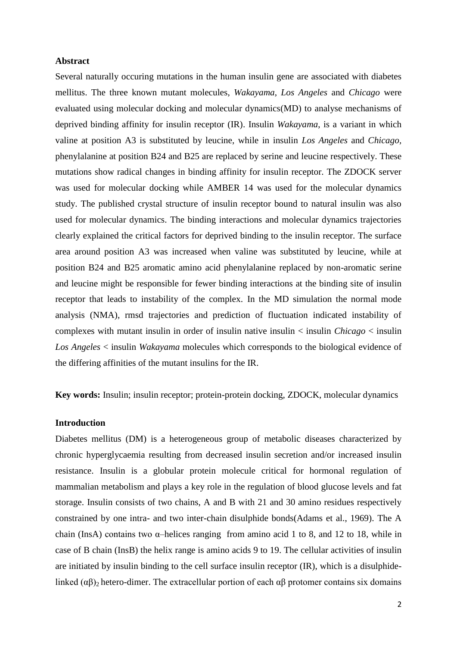## **Abstract**

Several naturally occuring mutations in the human insulin gene are associated with diabetes mellitus. The three known mutant molecules, *Wakayama*, *Los Angeles* and *Chicago* were evaluated using molecular docking and molecular dynamics(MD) to analyse mechanisms of deprived binding affinity for insulin receptor (IR). Insulin *Wakayama*, is a variant in which valine at position A3 is substituted by leucine, while in insulin *Los Angeles* and *Chicago,*  phenylalanine at position B24 and B25 are replaced by serine and leucine respectively. These mutations show radical changes in binding affinity for insulin receptor. The ZDOCK server was used for molecular docking while AMBER 14 was used for the molecular dynamics study. The published crystal structure of insulin receptor bound to natural insulin was also used for molecular dynamics. The binding interactions and molecular dynamics trajectories clearly explained the critical factors for deprived binding to the insulin receptor. The surface area around position A3 was increased when valine was substituted by leucine, while at position B24 and B25 aromatic amino acid phenylalanine replaced by non-aromatic serine and leucine might be responsible for fewer binding interactions at the binding site of insulin receptor that leads to instability of the complex. In the MD simulation the normal mode analysis (NMA), rmsd trajectories and prediction of fluctuation indicated instability of complexes with mutant insulin in order of insulin native insulin < insulin *Chicago* < insulin *Los Angeles* < insulin *Wakayama* molecules which corresponds to the biological evidence of the differing affinities of the mutant insulins for the IR.

**Key words:** Insulin; insulin receptor; protein-protein docking, ZDOCK, molecular dynamics

#### **Introduction**

Diabetes mellitus (DM) is a heterogeneous group of metabolic diseases characterized by chronic hyperglycaemia resulting from decreased insulin secretion and/or increased insulin resistance. Insulin is a globular protein molecule critical for hormonal regulation of mammalian metabolism and plays a key role in the regulation of blood glucose levels and fat storage. Insulin consists of two chains, A and B with 21 and 30 amino residues respectively constrained by one intra- and two inter-chain disulphide bonds[\(Adams et al., 1969\)](#page-18-0). The A chain (InsA) contains two  $\alpha$ -helices ranging from amino acid 1 to 8, and 12 to 18, while in case of B chain (InsB) the helix range is amino acids 9 to 19. The cellular activities of insulin are initiated by insulin binding to the cell surface insulin receptor (IR), which is a disulphidelinked  $(\alpha\beta)$ <sub>2</sub> hetero-dimer. The extracellular portion of each  $\alpha\beta$  protomer contains six domains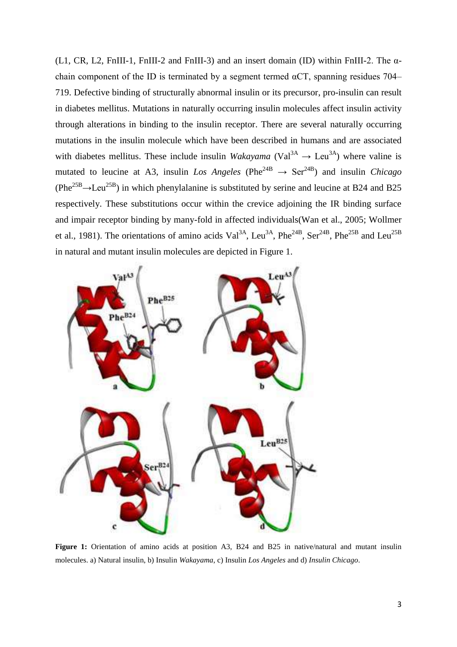(L1, CR, L2, FnIII-1, FnIII-2 and FnIII-3) and an insert domain (ID) within FnIII-2. The αchain component of the ID is terminated by a segment termed  $\alpha$ CT, spanning residues 704– 719. Defective binding of structurally abnormal insulin or its precursor, pro-insulin can result in diabetes mellitus. Mutations in naturally occurring insulin molecules affect insulin activity through alterations in binding to the insulin receptor. There are several naturally occurring mutations in the insulin molecule which have been described in humans and are associated with diabetes mellitus. These include insulin *Wakayama* (Val<sup>3A</sup>  $\rightarrow$  Leu<sup>3A</sup>) where valine is mutated to leucine at A3, insulin *Los Angeles* (Phe<sup>24B</sup>  $\rightarrow$  Ser<sup>24B</sup>) and insulin *Chicago*  $(Phe^{25B} \rightarrow Leu^{25B})$  in which phenylalanine is substituted by serine and leucine at B24 and B25 respectively. These substitutions occur within the crevice adjoining the IR binding surface and impair receptor binding by many-fold in affected individuals[\(Wan et al., 2005;](#page-20-0) [Wollmer](#page-21-0)  [et al., 1981\)](#page-21-0). The orientations of amino acids Val<sup>3A</sup>, Leu<sup>3A</sup>, Phe<sup>24B</sup>, Ser<sup>24B</sup>, Phe<sup>25B</sup> and Leu<sup>25B</sup> in natural and mutant insulin molecules are depicted in Figure 1.



**Figure 1:** Orientation of amino acids at position A3, B24 and B25 in native/natural and mutant insulin molecules. a) Natural insulin, b) Insulin *Wakayama*, c) Insulin *Los Angeles* and d) *Insulin Chicago*.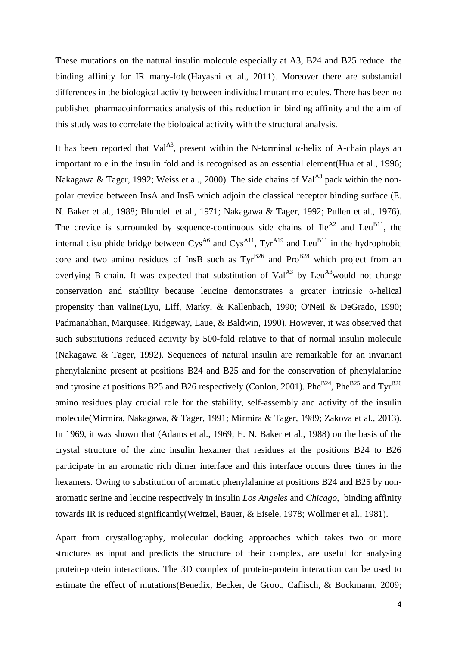These mutations on the natural insulin molecule especially at A3, B24 and B25 reduce the binding affinity for IR many-fold[\(Hayashi et al., 2011\)](#page-19-0). Moreover there are substantial differences in the biological activity between individual mutant molecules. There has been no published pharmacoinformatics analysis of this reduction in binding affinity and the aim of this study was to correlate the biological activity with the structural analysis.

It has been reported that Val<sup>A3</sup>, present within the N-terminal  $\alpha$ -helix of A-chain plays an important role in the insulin fold and is recognised as an essential element[\(Hua et al., 1996;](#page-19-1) [Nakagawa & Tager, 1992;](#page-20-1) [Weiss et al., 2000\)](#page-21-1). The side chains of Val<sup>A3</sup> pack within the nonpolar crevice between InsA and InsB which adjoin the classical receptor binding surface [\(E.](#page-18-1)  [N. Baker et al., 1988;](#page-18-1) [Blundell et al., 1971;](#page-18-2) [Nakagawa & Tager, 1992;](#page-20-1) [Pullen et al., 1976\)](#page-20-2). The crevice is surrounded by sequence-continuous side chains of  $\text{He}^{A2}$  and Leu<sup>B11</sup>, the internal disulphide bridge between  $Cys^{A6}$  and  $Cys^{A11}$ ,  $Tyr^{A19}$  and Leu<sup>B11</sup> in the hydrophobic core and two amino residues of InsB such as  $\text{Ty}^{\text{B26}}$  and  $\text{Pro}^{\text{B28}}$  which project from an overlying B-chain. It was expected that substitution of Val<sup> $A3$ </sup> by Leu<sup> $A3$ </sup>would not change conservation and stability because leucine demonstrates a greater intrinsic α-helical propensity than valine[\(Lyu, Liff, Marky, & Kallenbach, 1990;](#page-19-2) [O'Neil & DeGrado, 1990;](#page-20-3) [Padmanabhan, Marqusee, Ridgeway, Laue, & Baldwin, 1990\)](#page-20-4). However, it was observed that such substitutions reduced activity by 500-fold relative to that of normal insulin molecule [\(Nakagawa & Tager, 1992\)](#page-20-1). Sequences of natural insulin are remarkable for an invariant phenylalanine present at positions B24 and B25 and for the conservation of phenylalanine and tyrosine at positions B25 and B26 respectively [\(Conlon, 2001\)](#page-19-3). Phe<sup>B24</sup>, Phe<sup>B25</sup> and Tyr<sup>B26</sup> amino residues play crucial role for the stability, self-assembly and activity of the insulin molecule[\(Mirmira, Nakagawa, & Tager, 1991;](#page-20-5) [Mirmira & Tager, 1989;](#page-20-6) [Zakova et al., 2013\)](#page-21-2). In 1969, it was shown that [\(Adams et al., 1969;](#page-18-0) [E. N. Baker et al., 1988\)](#page-18-1) on the basis of the crystal structure of the zinc insulin hexamer that residues at the positions B24 to B26 participate in an aromatic rich dimer interface and this interface occurs three times in the hexamers. Owing to substitution of aromatic phenylalanine at positions B24 and B25 by nonaromatic serine and leucine respectively in insulin *Los Angeles* and *Chicago*, binding affinity towards IR is reduced significantly[\(Weitzel, Bauer, & Eisele, 1978;](#page-21-3) [Wollmer et al., 1981\)](#page-21-0).

Apart from crystallography, molecular docking approaches which takes two or more structures as input and predicts the structure of their complex, are useful for analysing protein-protein interactions. The 3D complex of protein-protein interaction can be used to estimate the effect of mutations[\(Benedix, Becker, de Groot, Caflisch, & Bockmann, 2009;](#page-18-3)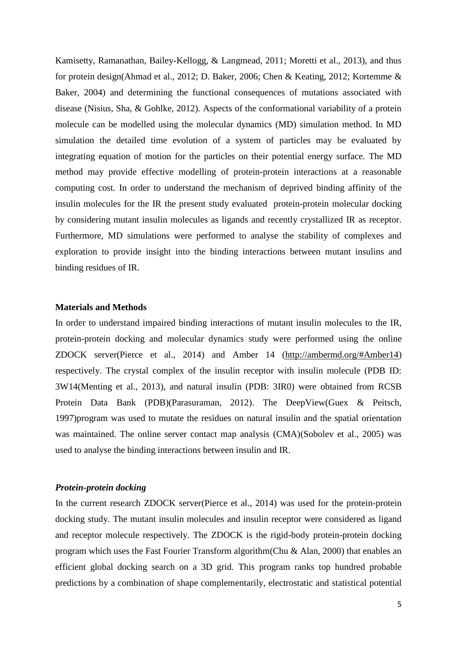[Kamisetty, Ramanathan, Bailey-Kellogg, & Langmead, 2011;](#page-19-4) [Moretti et al., 2013\)](#page-20-7), and thus for protein design[\(Ahmad et al., 2012;](#page-18-4) [D. Baker, 2006;](#page-18-5) [Chen & Keating, 2012;](#page-19-5) [Kortemme &](#page-19-6)  [Baker, 2004\)](#page-19-6) and determining the functional consequences of mutations associated with disease [\(Nisius, Sha, & Gohlke, 2012\)](#page-20-8). Aspects of the conformational variability of a protein molecule can be modelled using the molecular dynamics (MD) simulation method. In MD simulation the detailed time evolution of a system of particles may be evaluated by integrating equation of motion for the particles on their potential energy surface. The MD method may provide effective modelling of protein-protein interactions at a reasonable computing cost. In order to understand the mechanism of deprived binding affinity of the insulin molecules for the IR the present study evaluated protein-protein molecular docking by considering mutant insulin molecules as ligands and recently crystallized IR as receptor. Furthermore, MD simulations were performed to analyse the stability of complexes and exploration to provide insight into the binding interactions between mutant insulins and binding residues of IR.

## **Materials and Methods**

In order to understand impaired binding interactions of mutant insulin molecules to the IR, protein-protein docking and molecular dynamics study were performed using the online ZDOCK server[\(Pierce et al., 2014\)](#page-20-9) and Amber 14 [\(http://ambermd.org/#Amber14\)](http://ambermd.org/#Amber14) respectively. The crystal complex of the insulin receptor with insulin molecule (PDB ID: 3W14[\(Menting et al., 2013\)](#page-19-7), and natural insulin (PDB: 3IR0) were obtained from RCSB Protein Data Bank (PDB)[\(Parasuraman, 2012\)](#page-20-10). The DeepView[\(Guex & Peitsch,](#page-19-8)  [1997\)](#page-19-8)program was used to mutate the residues on natural insulin and the spatial orientation was maintained. The online server contact map analysis (CMA)[\(Sobolev et al., 2005\)](#page-20-11) was used to analyse the binding interactions between insulin and IR.

## *Protein-protein docking*

In the current research ZDOCK server[\(Pierce et al., 2014\)](#page-20-9) was used for the protein-protein docking study. The mutant insulin molecules and insulin receptor were considered as ligand and receptor molecule respectively. The ZDOCK is the rigid-body protein-protein docking program which uses the Fast Fourier Transform algorithm[\(Chu & Alan, 2000\)](#page-19-9) that enables an efficient global docking search on a 3D grid. This program ranks top hundred probable predictions by a combination of shape complementarily, electrostatic and statistical potential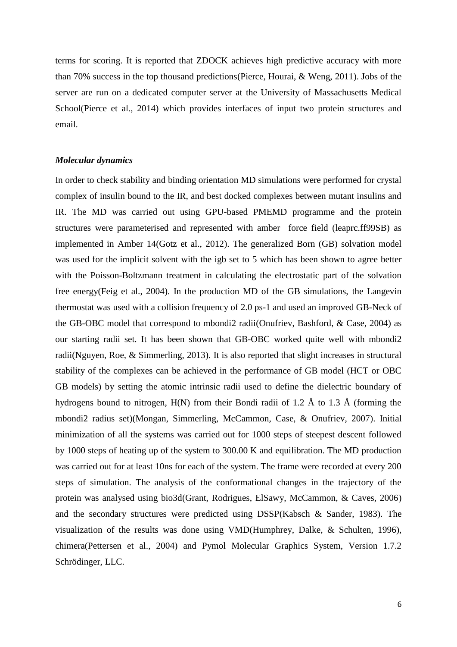terms for scoring. It is reported that ZDOCK achieves high predictive accuracy with more than 70% success in the top thousand predictions[\(Pierce, Hourai, & Weng, 2011\)](#page-20-12). Jobs of the server are run on a dedicated computer server at the University of Massachusetts Medical School[\(Pierce et al., 2014\)](#page-20-9) which provides interfaces of input two protein structures and email.

## *Molecular dynamics*

In order to check stability and binding orientation MD simulations were performed for crystal complex of insulin bound to the IR, and best docked complexes between mutant insulins and IR. The MD was carried out using GPU-based PMEMD programme and the protein structures were parameterised and represented with amber force field (leaprc.ff99SB) as implemented in Amber 14[\(Gotz et al., 2012\)](#page-19-10). The generalized Born (GB) solvation model was used for the implicit solvent with the igb set to 5 which has been shown to agree better with the Poisson-Boltzmann treatment in calculating the electrostatic part of the solvation free energy[\(Feig et al., 2004\)](#page-19-11). In the production MD of the GB simulations, the Langevin thermostat was used with a collision frequency of 2.0 ps-1 and used an improved GB-Neck of the GB-OBC model that correspond to mbondi2 radii[\(Onufriev, Bashford, & Case, 2004\)](#page-20-13) as our starting radii set. It has been shown that GB-OBC worked quite well with mbondi2 radii[\(Nguyen, Roe, & Simmerling, 2013\)](#page-20-14). It is also reported that slight increases in structural stability of the complexes can be achieved in the performance of GB model (HCT or OBC GB models) by setting the atomic intrinsic radii used to define the dielectric boundary of hydrogens bound to nitrogen, H(N) from their Bondi radii of 1.2 Å to 1.3 Å (forming the mbondi2 radius set)(Mongan, [Simmerling, McCammon, Case, & Onufriev, 2007\)](#page-20-15). Initial minimization of all the systems was carried out for 1000 steps of steepest descent followed by 1000 steps of heating up of the system to 300.00 K and equilibration. The MD production was carried out for at least 10ns for each of the system. The frame were recorded at every 200 steps of simulation. The analysis of the conformational changes in the trajectory of the protein was analysed using bio3d[\(Grant, Rodrigues, ElSawy, McCammon, & Caves, 2006\)](#page-19-12) and the secondary structures were predicted using DSSP[\(Kabsch & Sander, 1983\)](#page-19-13). The visualization of the results was done using VMD[\(Humphrey, Dalke, & Schulten, 1996\)](#page-19-14), chimera[\(Pettersen et al., 2004\)](#page-20-16) and Pymol Molecular Graphics System, Version 1.7.2 Schrödinger, LLC.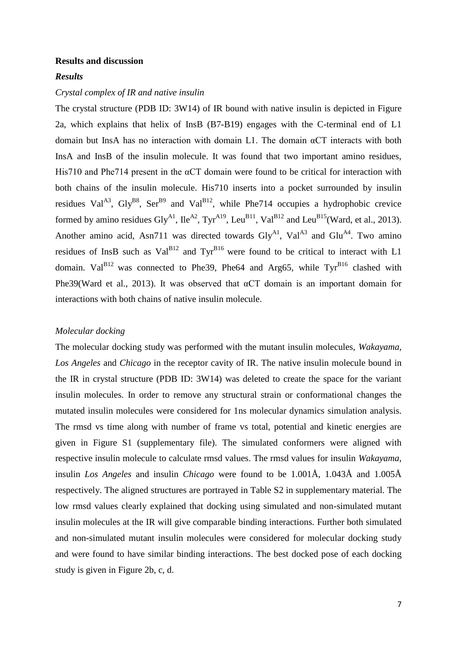#### **Results and discussion**

## *Results*

## *Crystal complex of IR and native insulin*

The crystal structure (PDB ID: 3W14) of IR bound with native insulin is depicted in Figure 2a, which explains that helix of InsB (B7-B19) engages with the C-terminal end of L1 domain but InsA has no interaction with domain L1. The domain  $\alpha$ CT interacts with both InsA and InsB of the insulin molecule. It was found that two important amino residues, His710 and Phe714 present in the αCT domain were found to be critical for interaction with both chains of the insulin molecule. His710 inserts into a pocket surrounded by insulin residues Val<sup>A3</sup>, Gly<sup>B8</sup>, Ser<sup>B9</sup> and Val<sup>B12</sup>, while Phe714 occupies a hydrophobic crevice formed by amino residues Gly<sup>A1</sup>, Ile<sup>A2</sup>, Tyr<sup>A19</sup>, Leu<sup>B11</sup>, Val<sup>B12</sup> and Leu<sup>B15</sup>[\(Ward, et al., 2013\)](#page-21-4). Another amino acid, Asn711 was directed towards  $\text{Gly}^{\text{Al}}$ , Val<sup>A3</sup> and  $\text{Glu}^{\text{A4}}$ . Two amino residues of InsB such as  $Val^{B12}$  and  $Tyr^{B16}$  were found to be critical to interact with L1 domain.  $Val<sup>B12</sup>$  was connected to Phe39, Phe64 and Arg65, while  $Tyr<sup>B16</sup>$  clashed with Phe39[\(Ward et al., 2013\)](#page-21-4). It was observed that αCT domain is an important domain for interactions with both chains of native insulin molecule.

## *Molecular docking*

The molecular docking study was performed with the mutant insulin molecules, *Wakayama*, *Los Angeles* and *Chicago* in the receptor cavity of IR. The native insulin molecule bound in the IR in crystal structure (PDB ID: 3W14) was deleted to create the space for the variant insulin molecules. In order to remove any structural strain or conformational changes the mutated insulin molecules were considered for 1ns molecular dynamics simulation analysis. The rmsd vs time along with number of frame vs total, potential and kinetic energies are given in Figure S1 (supplementary file). The simulated conformers were aligned with respective insulin molecule to calculate rmsd values. The rmsd values for insulin *Wakayama*, insulin *Los Angeles* and insulin *Chicago* were found to be 1.001Å, 1.043Å and 1.005Å respectively. The aligned structures are portrayed in Table S2 in supplementary material. The low rmsd values clearly explained that docking using simulated and non-simulated mutant insulin molecules at the IR will give comparable binding interactions. Further both simulated and non-simulated mutant insulin molecules were considered for molecular docking study and were found to have similar binding interactions. The best docked pose of each docking study is given in Figure 2b, c, d.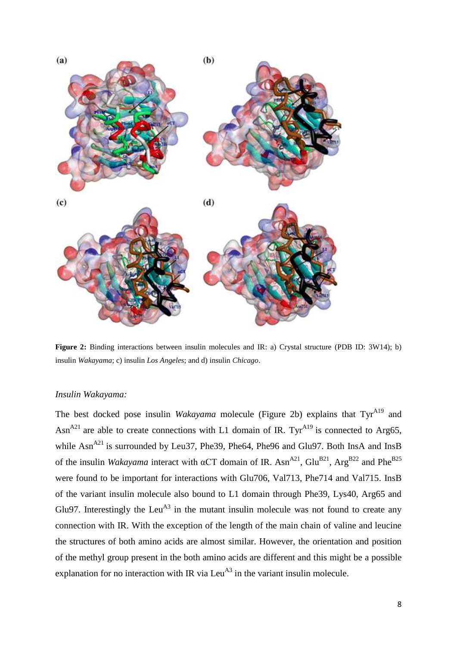

**Figure 2:** Binding interactions between insulin molecules and IR: a) Crystal structure (PDB ID: 3W14); b) insulin *Wakayama*; c) insulin *Los Angeles*; and d) insulin *Chicago*.

# *Insulin Wakayama:*

The best docked pose insulin *Wakayama* molecule (Figure 2b) explains that Tyr<sup>A19</sup> and Asn<sup>A21</sup> are able to create connections with L1 domain of IR. Tyr<sup>A19</sup> is connected to Arg65, while Asn<sup>A21</sup> is surrounded by Leu37, Phe39, Phe64, Phe96 and Glu97. Both InsA and InsB of the insulin *Wakayama* interact with  $\alpha$ CT domain of IR. Asn<sup>A21</sup>, Glu<sup>B21</sup>, Arg<sup>B22</sup> and Phe<sup>B25</sup> were found to be important for interactions with Glu706, Val713, Phe714 and Val715. InsB of the variant insulin molecule also bound to L1 domain through Phe39, Lys40, Arg65 and Glu97. Interestingly the Leu<sup>A3</sup> in the mutant insulin molecule was not found to create any connection with IR. With the exception of the length of the main chain of valine and leucine the structures of both amino acids are almost similar. However, the orientation and position of the methyl group present in the both amino acids are different and this might be a possible explanation for no interaction with IR via Leu<sup>A3</sup> in the variant insulin molecule.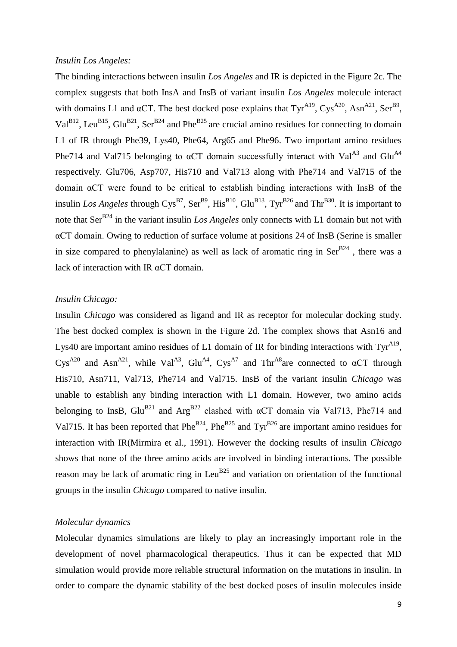## *Insulin Los Angeles:*

The binding interactions between insulin *Los Angeles* and IR is depicted in the Figure 2c. The complex suggests that both InsA and InsB of variant insulin *Los Angeles* molecule interact with domains L1 and  $\alpha$ CT. The best docked pose explains that Tyr<sup>A19</sup>, Cys<sup>A20</sup>, Asn<sup>A21</sup>, Ser<sup>B9</sup>, Val<sup>B12</sup>, Leu<sup>B15</sup>, Glu<sup>B21</sup>, Ser<sup>B24</sup> and Phe<sup>B25</sup> are crucial amino residues for connecting to domain L1 of IR through Phe39, Lys40, Phe64, Arg65 and Phe96. Two important amino residues Phe714 and Val715 belonging to  $\alpha$ CT domain successfully interact with Val<sup>A3</sup> and Glu<sup>A4</sup> respectively. Glu706, Asp707, His710 and Val713 along with Phe714 and Val715 of the domain αCT were found to be critical to establish binding interactions with InsB of the insulin Los Angeles through  $\text{Cys}^{\text{B7}}$ ,  $\text{Ser}^{\text{B9}}$ ,  $\text{His}^{\text{B10}}$ ,  $\text{Glu}^{\text{B13}}$ ,  $\text{Tyr}^{\text{B26}}$  and  $\text{Thr}^{\text{B30}}$ . It is important to note that Ser<sup>B24</sup> in the variant insulin *Los Angeles* only connects with L1 domain but not with αCT domain. Owing to reduction of surface volume at positions 24 of InsB (Serine is smaller in size compared to phenylalanine) as well as lack of aromatic ring in  $\text{Ser}^{\text{B24}}$ , there was a lack of interaction with IR αCT domain.

# *Insulin Chicago:*

Insulin *Chicago* was considered as ligand and IR as receptor for molecular docking study. The best docked complex is shown in the Figure 2d. The complex shows that Asn16 and Lys40 are important amino residues of L1 domain of IR for binding interactions with  $\text{Ty}^{\text{A19}}$ , Cys<sup>A20</sup> and Asn<sup>A21</sup>, while Val<sup>A3</sup>, Glu<sup>A4</sup>, Cys<sup>A7</sup> and Thr<sup>A8</sup>are connected to  $\alpha$ CT through His710, Asn711, Val713, Phe714 and Val715. InsB of the variant insulin *Chicago* was unable to establish any binding interaction with L1 domain. However, two amino acids belonging to InsB, Glu<sup>B21</sup> and Arg<sup>B22</sup> clashed with  $\alpha$ CT domain via Val713, Phe714 and Val715. It has been reported that  $Phe^{B24}$ ,  $Phe^{B25}$  and  $Tyr^{B26}$  are important amino residues for interaction with IR[\(Mirmira et al., 1991\)](#page-20-5). However the docking results of insulin *Chicago* shows that none of the three amino acids are involved in binding interactions. The possible reason may be lack of aromatic ring in Leu<sup>B25</sup> and variation on orientation of the functional groups in the insulin *Chicago* compared to native insulin.

## *Molecular dynamics*

Molecular dynamics simulations are likely to play an increasingly important role in the development of novel pharmacological therapeutics. Thus it can be expected that MD simulation would provide more reliable structural information on the mutations in insulin. In order to compare the dynamic stability of the best docked poses of insulin molecules inside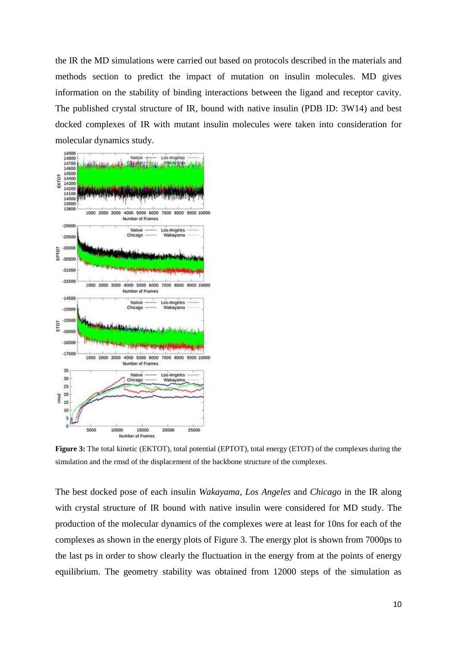the IR the MD simulations were carried out based on protocols described in the materials and methods section to predict the impact of mutation on insulin molecules. MD gives information on the stability of binding interactions between the ligand and receptor cavity. The published crystal structure of IR, bound with native insulin (PDB ID: 3W14) and best docked complexes of IR with mutant insulin molecules were taken into consideration for molecular dynamics study.



**Figure 3:** The total kinetic (EKTOT), total potential (EPTOT), total energy (ETOT) of the complexes during the simulation and the rmsd of the displacement of the backbone structure of the complexes.

The best docked pose of each insulin *Wakayama*, *Los Angeles* and *Chicago* in the IR along with crystal structure of IR bound with native insulin were considered for MD study. The production of the molecular dynamics of the complexes were at least for 10ns for each of the complexes as shown in the energy plots of Figure 3. The energy plot is shown from 7000ps to the last ps in order to show clearly the fluctuation in the energy from at the points of energy equilibrium. The geometry stability was obtained from 12000 steps of the simulation as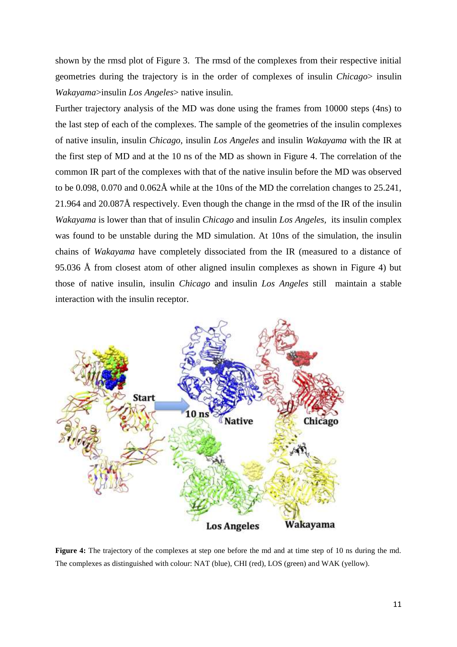shown by the rmsd plot of Figure 3. The rmsd of the complexes from their respective initial geometries during the trajectory is in the order of complexes of insulin *Chicago*> insulin *Wakayama*>insulin *Los Angeles*> native insulin.

Further trajectory analysis of the MD was done using the frames from 10000 steps (4ns) to the last step of each of the complexes. The sample of the geometries of the insulin complexes of native insulin, insulin *Chicago*, insulin *Los Angeles* and insulin *Wakayama* with the IR at the first step of MD and at the 10 ns of the MD as shown in Figure 4. The correlation of the common IR part of the complexes with that of the native insulin before the MD was observed to be 0.098, 0.070 and 0.062Å while at the 10ns of the MD the correlation changes to 25.241, 21.964 and 20.087Å respectively. Even though the change in the rmsd of the IR of the insulin *Wakayama* is lower than that of insulin *Chicago* and insulin *Los Angeles,* its insulin complex was found to be unstable during the MD simulation. At 10ns of the simulation, the insulin chains of *Wakayama* have completely dissociated from the IR (measured to a distance of 95.036 Å from closest atom of other aligned insulin complexes as shown in Figure 4) but those of native insulin, insulin *Chicago* and insulin *Los Angeles* still maintain a stable interaction with the insulin receptor.



**Figure 4:** The trajectory of the complexes at step one before the md and at time step of 10 ns during the md. The complexes as distinguished with colour: NAT (blue), CHI (red), LOS (green) and WAK (yellow).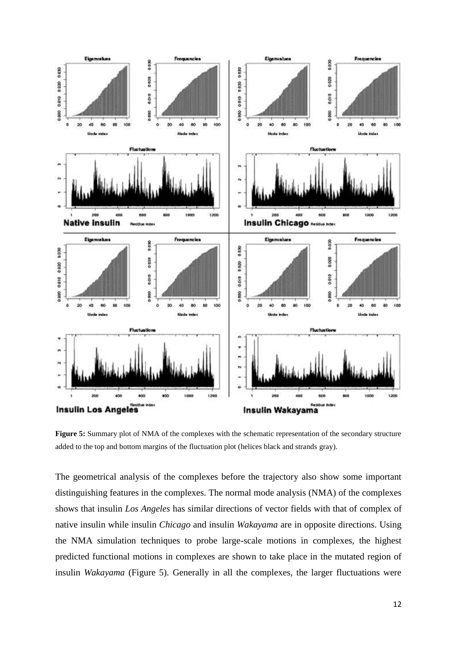

**Figure 5:** Summary plot of NMA of the complexes with the schematic representation of the secondary structure added to the top and bottom margins of the fluctuation plot (helices black and strands gray).

The geometrical analysis of the complexes before the trajectory also show some important distinguishing features in the complexes. The normal mode analysis (NMA) of the complexes shows that insulin *Los Angeles* has similar directions of vector fields with that of complex of native insulin while insulin *Chicago* and insulin *Wakayama* are in opposite directions. Using the NMA simulation techniques to probe large-scale motions in complexes, the highest predicted functional motions in complexes are shown to take place in the mutated region of insulin *Wakayama* (Figure 5). Generally in all the complexes, the larger fluctuations were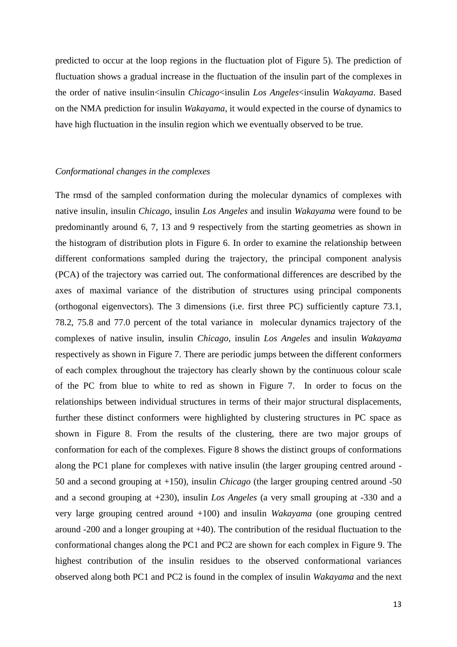predicted to occur at the loop regions in the fluctuation plot of Figure 5). The prediction of fluctuation shows a gradual increase in the fluctuation of the insulin part of the complexes in the order of native insulin<insulin *Chicago*<insulin *Los Angeles*<insulin *Wakayama*. Based on the NMA prediction for insulin *Wakayama*, it would expected in the course of dynamics to have high fluctuation in the insulin region which we eventually observed to be true.

## *Conformational changes in the complexes*

The rmsd of the sampled conformation during the molecular dynamics of complexes with native insulin, insulin *Chicago*, insulin *Los Angeles* and insulin *Wakayama* were found to be predominantly around 6, 7, 13 and 9 respectively from the starting geometries as shown in the histogram of distribution plots in Figure 6. In order to examine the relationship between different conformations sampled during the trajectory, the principal component analysis (PCA) of the trajectory was carried out. The conformational differences are described by the axes of maximal variance of the distribution of structures using principal components (orthogonal eigenvectors). The 3 dimensions (i.e. first three PC) sufficiently capture 73.1, 78.2, 75.8 and 77.0 percent of the total variance in molecular dynamics trajectory of the complexes of native insulin, insulin *Chicago*, insulin *Los Angeles* and insulin *Wakayama* respectively as shown in Figure 7. There are periodic jumps between the different conformers of each complex throughout the trajectory has clearly shown by the continuous colour scale of the PC from blue to white to red as shown in Figure 7. In order to focus on the relationships between individual structures in terms of their major structural displacements, further these distinct conformers were highlighted by clustering structures in PC space as shown in Figure 8. From the results of the clustering, there are two major groups of conformation for each of the complexes. Figure 8 shows the distinct groups of conformations along the PC1 plane for complexes with native insulin (the larger grouping centred around - 50 and a second grouping at +150), insulin *Chicago* (the larger grouping centred around -50 and a second grouping at +230), insulin *Los Angeles* (a very small grouping at -330 and a very large grouping centred around +100) and insulin *Wakayama* (one grouping centred around -200 and a longer grouping at +40). The contribution of the residual fluctuation to the conformational changes along the PC1 and PC2 are shown for each complex in Figure 9. The highest contribution of the insulin residues to the observed conformational variances observed along both PC1 and PC2 is found in the complex of insulin *Wakayama* and the next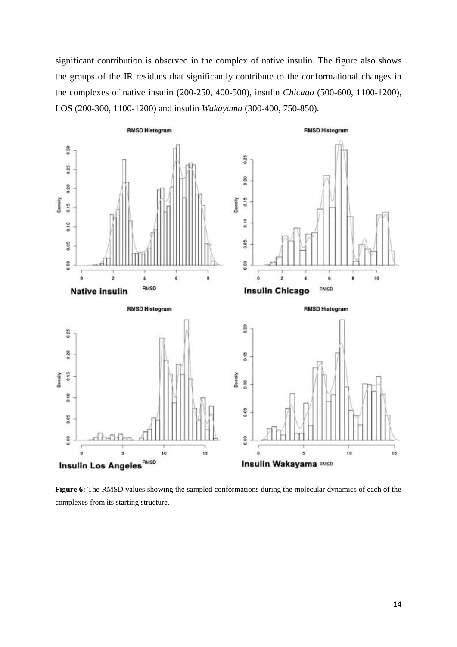significant contribution is observed in the complex of native insulin. The figure also shows the groups of the IR residues that significantly contribute to the conformational changes in the complexes of native insulin (200-250, 400-500), insulin *Chicago* (500-600, 1100-1200), LOS (200-300, 1100-1200) and insulin *Wakayama* (300-400, 750-850).



**Figure 6:** The RMSD values showing the sampled conformations during the molecular dynamics of each of the complexes from its starting structure.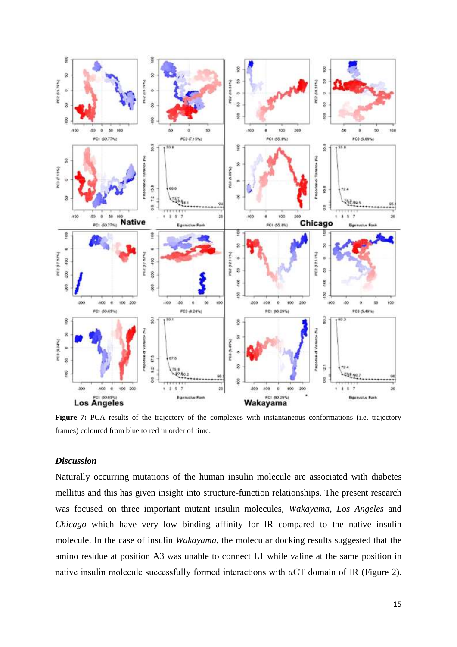

**Figure 7:** PCA results of the trajectory of the complexes with instantaneous conformations (i.e. trajectory frames) coloured from blue to red in order of time.

## *Discussion*

Naturally occurring mutations of the human insulin molecule are associated with diabetes mellitus and this has given insight into structure-function relationships. The present research was focused on three important mutant insulin molecules, *Wakayama*, *Los Angeles* and *Chicago* which have very low binding affinity for IR compared to the native insulin molecule. In the case of insulin *Wakayama*, the molecular docking results suggested that the amino residue at position A3 was unable to connect L1 while valine at the same position in native insulin molecule successfully formed interactions with  $\alpha$ CT domain of IR (Figure 2).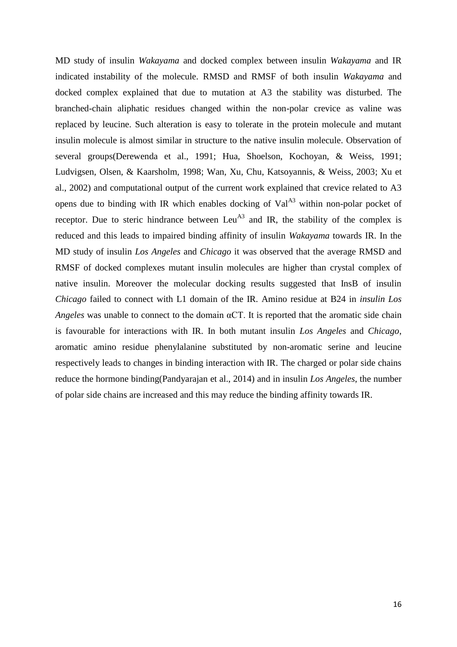MD study of insulin *Wakayama* and docked complex between insulin *Wakayama* and IR indicated instability of the molecule. RMSD and RMSF of both insulin *Wakayama* and docked complex explained that due to mutation at A3 the stability was disturbed. The branched-chain aliphatic residues changed within the non-polar crevice as valine was replaced by leucine. Such alteration is easy to tolerate in the protein molecule and mutant insulin molecule is almost similar in structure to the native insulin molecule. Observation of several groups[\(Derewenda et al., 1991;](#page-19-15) [Hua, Shoelson, Kochoyan, & Weiss, 1991;](#page-19-16) [Ludvigsen, Olsen, & Kaarsholm, 1998;](#page-19-17) [Wan, Xu, Chu, Katsoyannis, & Weiss, 2003;](#page-21-5) [Xu et](#page-21-6)  [al., 2002\)](#page-21-6) and computational output of the current work explained that crevice related to A3 opens due to binding with IR which enables docking of  $Val^{A3}$  within non-polar pocket of receptor. Due to steric hindrance between Leu<sup> $A3$ </sup> and IR, the stability of the complex is reduced and this leads to impaired binding affinity of insulin *Wakayama* towards IR. In the MD study of insulin *Los Angeles* and *Chicago* it was observed that the average RMSD and RMSF of docked complexes mutant insulin molecules are higher than crystal complex of native insulin. Moreover the molecular docking results suggested that InsB of insulin *Chicago* failed to connect with L1 domain of the IR. Amino residue at B24 in *insulin Los Angeles* was unable to connect to the domain αCT. It is reported that the aromatic side chain is favourable for interactions with IR. In both mutant insulin *Los Angeles* and *Chicago*, aromatic amino residue phenylalanine substituted by non-aromatic serine and leucine respectively leads to changes in binding interaction with IR. The charged or polar side chains reduce the hormone binding[\(Pandyarajan et al., 2014\)](#page-20-17) and in insulin *Los Angeles*, the number of polar side chains are increased and this may reduce the binding affinity towards IR.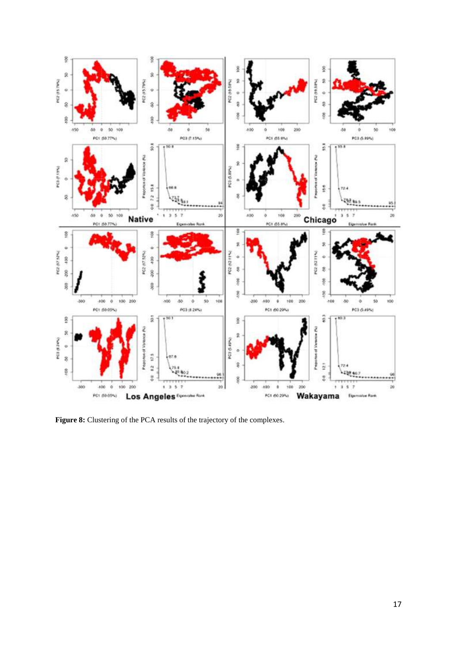

Figure 8: Clustering of the PCA results of the trajectory of the complexes.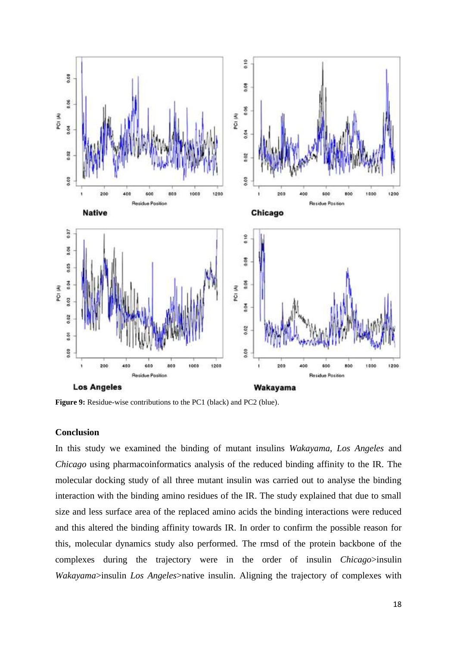

**Figure 9:** Residue-wise contributions to the PC1 (black) and PC2 (blue).

## **Conclusion**

In this study we examined the binding of mutant insulins *Wakayama*, *Los Angeles* and *Chicago* using pharmacoinformatics analysis of the reduced binding affinity to the IR. The molecular docking study of all three mutant insulin was carried out to analyse the binding interaction with the binding amino residues of the IR. The study explained that due to small size and less surface area of the replaced amino acids the binding interactions were reduced and this altered the binding affinity towards IR. In order to confirm the possible reason for this, molecular dynamics study also performed. The rmsd of the protein backbone of the complexes during the trajectory were in the order of insulin *Chicago*>insulin *Wakayama*>insulin *Los Angeles*>native insulin. Aligning the trajectory of complexes with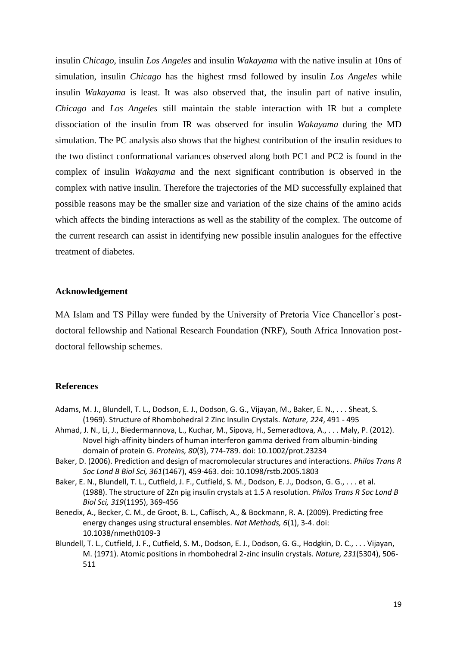insulin *Chicago*, insulin *Los Angeles* and insulin *Wakayama* with the native insulin at 10ns of simulation, insulin *Chicago* has the highest rmsd followed by insulin *Los Angeles* while insulin *Wakayama* is least. It was also observed that, the insulin part of native insulin, *Chicago* and *Los Angeles* still maintain the stable interaction with IR but a complete dissociation of the insulin from IR was observed for insulin *Wakayama* during the MD simulation. The PC analysis also shows that the highest contribution of the insulin residues to the two distinct conformational variances observed along both PC1 and PC2 is found in the complex of insulin *Wakayama* and the next significant contribution is observed in the complex with native insulin. Therefore the trajectories of the MD successfully explained that possible reasons may be the smaller size and variation of the size chains of the amino acids which affects the binding interactions as well as the stability of the complex. The outcome of the current research can assist in identifying new possible insulin analogues for the effective treatment of diabetes.

## **Acknowledgement**

MA Islam and TS Pillay were funded by the University of Pretoria Vice Chancellor's postdoctoral fellowship and National Research Foundation (NRF), South Africa Innovation postdoctoral fellowship schemes.

## **References**

- <span id="page-18-0"></span>Adams, M. J., Blundell, T. L., Dodson, E. J., Dodson, G. G., Vijayan, M., Baker, E. N., . . . Sheat, S. (1969). Structure of Rhombohedral 2 Zinc Insulin Crystals. *Nature, 224*, 491 - 495
- <span id="page-18-4"></span>Ahmad, J. N., Li, J., Biedermannova, L., Kuchar, M., Sipova, H., Semeradtova, A., . . . Maly, P. (2012). Novel high-affinity binders of human interferon gamma derived from albumin-binding domain of protein G. *Proteins, 80*(3), 774-789. doi: 10.1002/prot.23234
- <span id="page-18-5"></span>Baker, D. (2006). Prediction and design of macromolecular structures and interactions. *Philos Trans R Soc Lond B Biol Sci, 361*(1467), 459-463. doi: 10.1098/rstb.2005.1803
- <span id="page-18-1"></span>Baker, E. N., Blundell, T. L., Cutfield, J. F., Cutfield, S. M., Dodson, E. J., Dodson, G. G., . . . et al. (1988). The structure of 2Zn pig insulin crystals at 1.5 A resolution. *Philos Trans R Soc Lond B Biol Sci, 319*(1195), 369-456
- <span id="page-18-3"></span>Benedix, A., Becker, C. M., de Groot, B. L., Caflisch, A., & Bockmann, R. A. (2009). Predicting free energy changes using structural ensembles. *Nat Methods, 6*(1), 3-4. doi: 10.1038/nmeth0109-3
- <span id="page-18-2"></span>Blundell, T. L., Cutfield, J. F., Cutfield, S. M., Dodson, E. J., Dodson, G. G., Hodgkin, D. C., . . . Vijayan, M. (1971). Atomic positions in rhombohedral 2-zinc insulin crystals. *Nature, 231*(5304), 506- 511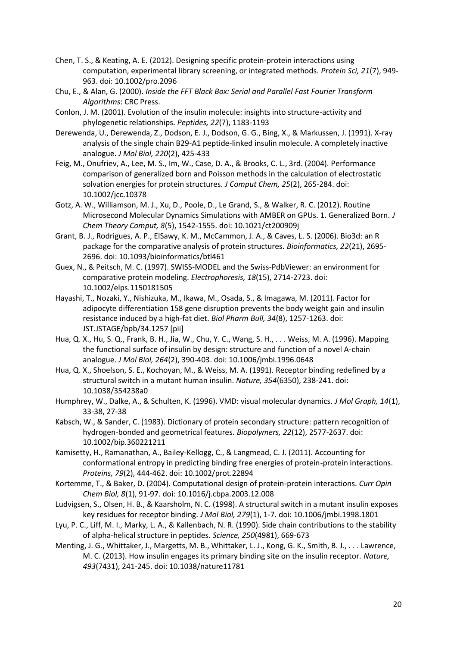- <span id="page-19-5"></span>Chen, T. S., & Keating, A. E. (2012). Designing specific protein-protein interactions using computation, experimental library screening, or integrated methods. *Protein Sci, 21*(7), 949- 963. doi: 10.1002/pro.2096
- <span id="page-19-9"></span>Chu, E., & Alan, G. (2000). *Inside the FFT Black Box: Serial and Parallel Fast Fourier Transform Algorithms*: CRC Press.
- <span id="page-19-3"></span>Conlon, J. M. (2001). Evolution of the insulin molecule: insights into structure-activity and phylogenetic relationships. *Peptides, 22*(7), 1183-1193
- <span id="page-19-15"></span>Derewenda, U., Derewenda, Z., Dodson, E. J., Dodson, G. G., Bing, X., & Markussen, J. (1991). X-ray analysis of the single chain B29-A1 peptide-linked insulin molecule. A completely inactive analogue. *J Mol Biol, 220*(2), 425-433
- <span id="page-19-11"></span>Feig, M., Onufriev, A., Lee, M. S., Im, W., Case, D. A., & Brooks, C. L., 3rd. (2004). Performance comparison of generalized born and Poisson methods in the calculation of electrostatic solvation energies for protein structures. *J Comput Chem, 25*(2), 265-284. doi: 10.1002/jcc.10378
- <span id="page-19-10"></span>Gotz, A. W., Williamson, M. J., Xu, D., Poole, D., Le Grand, S., & Walker, R. C. (2012). Routine Microsecond Molecular Dynamics Simulations with AMBER on GPUs. 1. Generalized Born. *J Chem Theory Comput, 8*(5), 1542-1555. doi: 10.1021/ct200909j
- <span id="page-19-12"></span>Grant, B. J., Rodrigues, A. P., ElSawy, K. M., McCammon, J. A., & Caves, L. S. (2006). Bio3d: an R package for the comparative analysis of protein structures. *Bioinformatics, 22*(21), 2695- 2696. doi: 10.1093/bioinformatics/btl461
- <span id="page-19-8"></span>Guex, N., & Peitsch, M. C. (1997). SWISS-MODEL and the Swiss-PdbViewer: an environment for comparative protein modeling. *Electrophoresis, 18*(15), 2714-2723. doi: 10.1002/elps.1150181505
- <span id="page-19-0"></span>Hayashi, T., Nozaki, Y., Nishizuka, M., Ikawa, M., Osada, S., & Imagawa, M. (2011). Factor for adipocyte differentiation 158 gene disruption prevents the body weight gain and insulin resistance induced by a high-fat diet. *Biol Pharm Bull, 34*(8), 1257-1263. doi: JST.JSTAGE/bpb/34.1257 [pii]
- <span id="page-19-1"></span>Hua, Q. X., Hu, S. Q., Frank, B. H., Jia, W., Chu, Y. C., Wang, S. H., . . . Weiss, M. A. (1996). Mapping the functional surface of insulin by design: structure and function of a novel A-chain analogue. *J Mol Biol, 264*(2), 390-403. doi: 10.1006/jmbi.1996.0648
- <span id="page-19-16"></span>Hua, Q. X., Shoelson, S. E., Kochoyan, M., & Weiss, M. A. (1991). Receptor binding redefined by a structural switch in a mutant human insulin. *Nature, 354*(6350), 238-241. doi: 10.1038/354238a0
- <span id="page-19-14"></span>Humphrey, W., Dalke, A., & Schulten, K. (1996). VMD: visual molecular dynamics. *J Mol Graph, 14*(1), 33-38, 27-38
- <span id="page-19-13"></span>Kabsch, W., & Sander, C. (1983). Dictionary of protein secondary structure: pattern recognition of hydrogen-bonded and geometrical features. *Biopolymers, 22*(12), 2577-2637. doi: 10.1002/bip.360221211
- <span id="page-19-4"></span>Kamisetty, H., Ramanathan, A., Bailey-Kellogg, C., & Langmead, C. J. (2011). Accounting for conformational entropy in predicting binding free energies of protein-protein interactions. *Proteins, 79*(2), 444-462. doi: 10.1002/prot.22894
- <span id="page-19-6"></span>Kortemme, T., & Baker, D. (2004). Computational design of protein-protein interactions. *Curr Opin Chem Biol, 8*(1), 91-97. doi: 10.1016/j.cbpa.2003.12.008
- <span id="page-19-17"></span>Ludvigsen, S., Olsen, H. B., & Kaarsholm, N. C. (1998). A structural switch in a mutant insulin exposes key residues for receptor binding. *J Mol Biol, 279*(1), 1-7. doi: 10.1006/jmbi.1998.1801
- <span id="page-19-2"></span>Lyu, P. C., Liff, M. I., Marky, L. A., & Kallenbach, N. R. (1990). Side chain contributions to the stability of alpha-helical structure in peptides. *Science, 250*(4981), 669-673
- <span id="page-19-7"></span>Menting, J. G., Whittaker, J., Margetts, M. B., Whittaker, L. J., Kong, G. K., Smith, B. J., . . . Lawrence, M. C. (2013). How insulin engages its primary binding site on the insulin receptor. *Nature, 493*(7431), 241-245. doi: 10.1038/nature11781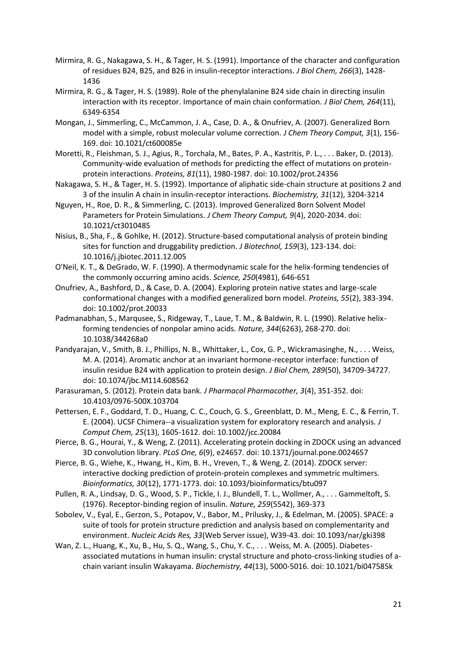- <span id="page-20-5"></span>Mirmira, R. G., Nakagawa, S. H., & Tager, H. S. (1991). Importance of the character and configuration of residues B24, B25, and B26 in insulin-receptor interactions. *J Biol Chem, 266*(3), 1428- 1436
- <span id="page-20-6"></span>Mirmira, R. G., & Tager, H. S. (1989). Role of the phenylalanine B24 side chain in directing insulin interaction with its receptor. Importance of main chain conformation. *J Biol Chem, 264*(11), 6349-6354
- <span id="page-20-15"></span>Mongan, J., Simmerling, C., McCammon, J. A., Case, D. A., & Onufriev, A. (2007). Generalized Born model with a simple, robust molecular volume correction. *J Chem Theory Comput, 3*(1), 156- 169. doi: 10.1021/ct600085e
- <span id="page-20-7"></span>Moretti, R., Fleishman, S. J., Agius, R., Torchala, M., Bates, P. A., Kastritis, P. L., . . . Baker, D. (2013). Community-wide evaluation of methods for predicting the effect of mutations on proteinprotein interactions. *Proteins, 81*(11), 1980-1987. doi: 10.1002/prot.24356
- <span id="page-20-1"></span>Nakagawa, S. H., & Tager, H. S. (1992). Importance of aliphatic side-chain structure at positions 2 and 3 of the insulin A chain in insulin-receptor interactions. *Biochemistry, 31*(12), 3204-3214
- <span id="page-20-14"></span>Nguyen, H., Roe, D. R., & Simmerling, C. (2013). Improved Generalized Born Solvent Model Parameters for Protein Simulations. *J Chem Theory Comput, 9*(4), 2020-2034. doi: 10.1021/ct3010485
- <span id="page-20-8"></span>Nisius, B., Sha, F., & Gohlke, H. (2012). Structure-based computational analysis of protein binding sites for function and druggability prediction. *J Biotechnol, 159*(3), 123-134. doi: 10.1016/j.jbiotec.2011.12.005
- <span id="page-20-3"></span>O'Neil, K. T., & DeGrado, W. F. (1990). A thermodynamic scale for the helix-forming tendencies of the commonly occurring amino acids. *Science, 250*(4981), 646-651
- <span id="page-20-13"></span>Onufriev, A., Bashford, D., & Case, D. A. (2004). Exploring protein native states and large-scale conformational changes with a modified generalized born model. *Proteins, 55*(2), 383-394. doi: 10.1002/prot.20033
- <span id="page-20-4"></span>Padmanabhan, S., Marqusee, S., Ridgeway, T., Laue, T. M., & Baldwin, R. L. (1990). Relative helixforming tendencies of nonpolar amino acids. *Nature, 344*(6263), 268-270. doi: 10.1038/344268a0
- <span id="page-20-17"></span>Pandyarajan, V., Smith, B. J., Phillips, N. B., Whittaker, L., Cox, G. P., Wickramasinghe, N., . . . Weiss, M. A. (2014). Aromatic anchor at an invariant hormone-receptor interface: function of insulin residue B24 with application to protein design. *J Biol Chem, 289*(50), 34709-34727. doi: 10.1074/jbc.M114.608562
- <span id="page-20-10"></span>Parasuraman, S. (2012). Protein data bank. *J Pharmacol Pharmacother, 3*(4), 351-352. doi: 10.4103/0976-500X.103704
- <span id="page-20-16"></span>Pettersen, E. F., Goddard, T. D., Huang, C. C., Couch, G. S., Greenblatt, D. M., Meng, E. C., & Ferrin, T. E. (2004). UCSF Chimera--a visualization system for exploratory research and analysis. *J Comput Chem, 25*(13), 1605-1612. doi: 10.1002/jcc.20084
- <span id="page-20-12"></span>Pierce, B. G., Hourai, Y., & Weng, Z. (2011). Accelerating protein docking in ZDOCK using an advanced 3D convolution library. *PLoS One, 6*(9), e24657. doi: 10.1371/journal.pone.0024657
- <span id="page-20-9"></span>Pierce, B. G., Wiehe, K., Hwang, H., Kim, B. H., Vreven, T., & Weng, Z. (2014). ZDOCK server: interactive docking prediction of protein-protein complexes and symmetric multimers. *Bioinformatics, 30*(12), 1771-1773. doi: 10.1093/bioinformatics/btu097
- <span id="page-20-2"></span>Pullen, R. A., Lindsay, D. G., Wood, S. P., Tickle, I. J., Blundell, T. L., Wollmer, A., . . . Gammeltoft, S. (1976). Receptor-binding region of insulin. *Nature, 259*(5542), 369-373
- <span id="page-20-11"></span>Sobolev, V., Eyal, E., Gerzon, S., Potapov, V., Babor, M., Prilusky, J., & Edelman, M. (2005). SPACE: a suite of tools for protein structure prediction and analysis based on complementarity and environment. *Nucleic Acids Res, 33*(Web Server issue), W39-43. doi: 10.1093/nar/gki398
- <span id="page-20-0"></span>Wan, Z. L., Huang, K., Xu, B., Hu, S. Q., Wang, S., Chu, Y. C., . . . Weiss, M. A. (2005). Diabetesassociated mutations in human insulin: crystal structure and photo-cross-linking studies of achain variant insulin Wakayama. *Biochemistry, 44*(13), 5000-5016. doi: 10.1021/bi047585k